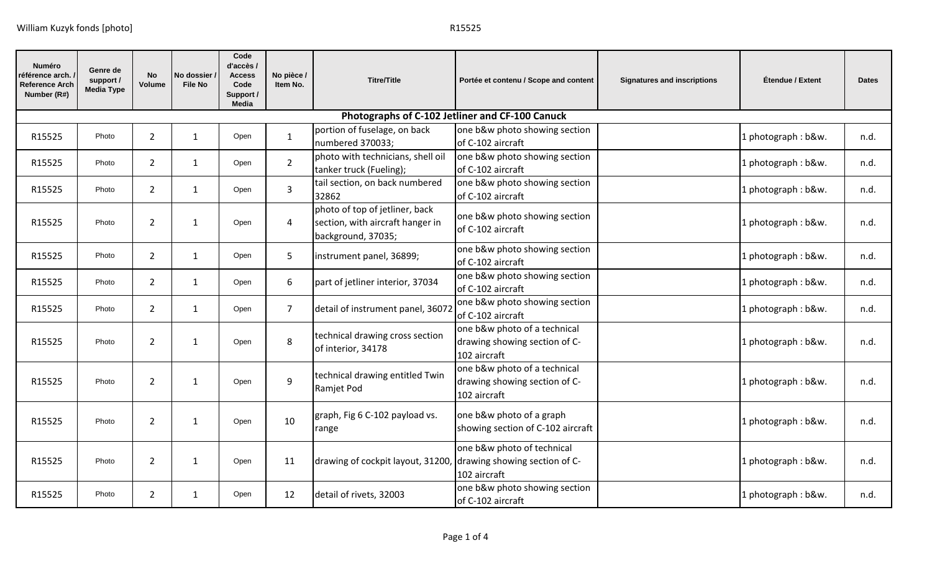| Numéro<br>'éférence arch. .<br><b>Reference Arch</b><br>Number (R#) | Genre de<br>support /<br><b>Media Type</b> | <b>No</b><br>Volume | No dossier<br><b>File No</b> | Code<br>d'accès /<br><b>Access</b><br>Code<br>Support /<br><b>Media</b> | No pièce /<br>Item No. | <b>Titre/Title</b>                                                                       | Portée et contenu / Scope and content                                         | <b>Signatures and inscriptions</b> | Étendue / Extent   | <b>Dates</b> |  |  |
|---------------------------------------------------------------------|--------------------------------------------|---------------------|------------------------------|-------------------------------------------------------------------------|------------------------|------------------------------------------------------------------------------------------|-------------------------------------------------------------------------------|------------------------------------|--------------------|--------------|--|--|
|                                                                     |                                            |                     |                              |                                                                         |                        |                                                                                          | Photographs of C-102 Jetliner and CF-100 Canuck                               |                                    |                    |              |  |  |
| R15525                                                              | Photo                                      | $\overline{2}$      | 1                            | Open                                                                    | $\mathbf{1}$           | portion of fuselage, on back<br>numbered 370033;                                         | one b&w photo showing section<br>of C-102 aircraft                            |                                    | 1 photograph: b&w. | n.d.         |  |  |
| R15525                                                              | Photo                                      | $\overline{2}$      | $\mathbf{1}$                 | Open                                                                    | $\overline{2}$         | photo with technicians, shell oil<br>tanker truck (Fueling);                             | one b&w photo showing section<br>of C-102 aircraft                            |                                    | 1 photograph: b&w. | n.d.         |  |  |
| R15525                                                              | Photo                                      | $\overline{2}$      | $\mathbf{1}$                 | Open                                                                    | $\overline{3}$         | tail section, on back numbered<br>32862                                                  | one b&w photo showing section<br>of C-102 aircraft                            |                                    | 1 photograph: b&w. | n.d.         |  |  |
| R15525                                                              | Photo                                      | $\overline{2}$      | $\mathbf{1}$                 | Open                                                                    | $\overline{4}$         | photo of top of jetliner, back<br>section, with aircraft hanger in<br>background, 37035; | one b&w photo showing section<br>of C-102 aircraft                            |                                    | 1 photograph: b&w. | n.d.         |  |  |
| R15525                                                              | Photo                                      | $\overline{2}$      | $\mathbf{1}$                 | Open                                                                    | 5                      | instrument panel, 36899;                                                                 | one b&w photo showing section<br>of C-102 aircraft                            |                                    | 1 photograph: b&w. | n.d.         |  |  |
| R15525                                                              | Photo                                      | $\overline{2}$      | $\mathbf{1}$                 | Open                                                                    | 6                      | part of jetliner interior, 37034                                                         | one b&w photo showing section<br>of C-102 aircraft                            |                                    | 1 photograph: b&w. | n.d.         |  |  |
| R15525                                                              | Photo                                      | $\overline{2}$      | 1                            | Open                                                                    | $\overline{7}$         | detail of instrument panel, 36072                                                        | one b&w photo showing section<br>of C-102 aircraft                            |                                    | 1 photograph: b&w. | n.d.         |  |  |
| R15525                                                              | Photo                                      | $\overline{2}$      | $\mathbf{1}$                 | Open                                                                    | 8                      | technical drawing cross section<br>of interior, 34178                                    | one b&w photo of a technical<br>drawing showing section of C-<br>102 aircraft |                                    | 1 photograph: b&w. | n.d.         |  |  |
| R15525                                                              | Photo                                      | 2                   | $\mathbf{1}$                 | Open                                                                    | 9                      | technical drawing entitled Twin<br>Ramjet Pod                                            | one b&w photo of a technical<br>drawing showing section of C-<br>102 aircraft |                                    | 1 photograph: b&w. | n.d.         |  |  |
| R15525                                                              | Photo                                      | $\overline{2}$      | $\mathbf{1}$                 | Open                                                                    | 10                     | graph, Fig 6 C-102 payload vs.<br>range                                                  | one b&w photo of a graph<br>showing section of C-102 aircraft                 |                                    | 1 photograph: b&w. | n.d.         |  |  |
| R15525                                                              | Photo                                      | $\overline{2}$      | $\mathbf{1}$                 | Open                                                                    | 11                     | drawing of cockpit layout, 31200                                                         | one b&w photo of technical<br>drawing showing section of C-<br>102 aircraft   |                                    | 1 photograph: b&w. | n.d.         |  |  |
| R15525                                                              | Photo                                      | $\overline{2}$      | 1                            | Open                                                                    | 12                     | detail of rivets, 32003                                                                  | one b&w photo showing section<br>of C-102 aircraft                            |                                    | 1 photograph: b&w. | n.d.         |  |  |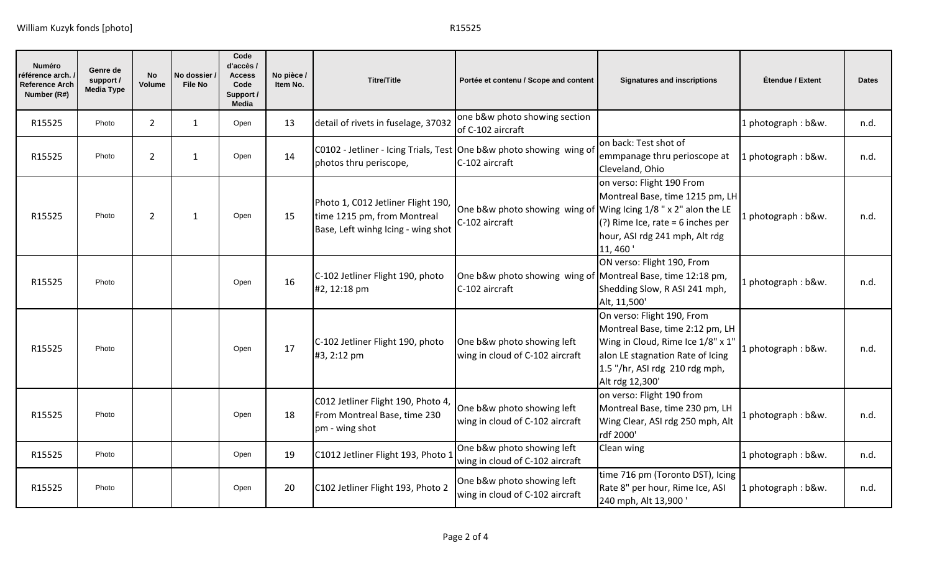| <b>Numéro</b><br>éférence arch.<br><b>Reference Arch</b><br>Number (R#) | Genre de<br>support /<br>Media Type | <b>No</b><br>Volume | No dossier /<br><b>File No</b> | Code<br>d'accès /<br><b>Access</b><br>Code<br>Support /<br><b>Media</b> | No pièce /<br>Item No. | <b>Titre/Title</b>                                                                                      | Portée et contenu / Scope and content                                               | <b>Signatures and inscriptions</b>                                                                                                                                                          | Étendue / Extent   | <b>Dates</b> |
|-------------------------------------------------------------------------|-------------------------------------|---------------------|--------------------------------|-------------------------------------------------------------------------|------------------------|---------------------------------------------------------------------------------------------------------|-------------------------------------------------------------------------------------|---------------------------------------------------------------------------------------------------------------------------------------------------------------------------------------------|--------------------|--------------|
| R15525                                                                  | Photo                               | $\overline{2}$      | $\mathbf{1}$                   | Open                                                                    | 13                     | detail of rivets in fuselage, 37032                                                                     | one b&w photo showing section<br>of C-102 aircraft                                  |                                                                                                                                                                                             | 1 photograph: b&w. | n.d.         |
| R15525                                                                  | Photo                               | $\overline{2}$      | $\mathbf{1}$                   | Open                                                                    | 14                     | C0102 - Jetliner - Icing Trials, Test One b&w photo showing wing of<br>photos thru periscope,           | C-102 aircraft                                                                      | on back: Test shot of<br>emmpanage thru perioscope at<br>Cleveland, Ohio                                                                                                                    | 1 photograph: b&w. | n.d.         |
| R15525                                                                  | Photo                               | 2                   | $\mathbf{1}$                   | Open                                                                    | 15                     | Photo 1, C012 Jetliner Flight 190,<br>time 1215 pm, from Montreal<br>Base, Left winhg Icing - wing shot | One b&w photo showing wing of Wing Icing $1/8$ " x 2" alon the LE<br>C-102 aircraft | on verso: Flight 190 From<br>Montreal Base, time 1215 pm, LH<br>(?) Rime Ice, rate = 6 inches per<br>hour, ASI rdg 241 mph, Alt rdg<br>11, 460'                                             | 1 photograph: b&w. | n.d.         |
| R15525                                                                  | Photo                               |                     |                                | Open                                                                    | 16                     | C-102 Jetliner Flight 190, photo<br>#2, 12:18 pm                                                        | One b&w photo showing wing of Montreal Base, time 12:18 pm,<br>C-102 aircraft       | ON verso: Flight 190, From<br>Shedding Slow, R ASI 241 mph,<br>Alt, 11,500'                                                                                                                 | 1 photograph: b&w. | n.d.         |
| R15525                                                                  | Photo                               |                     |                                | Open                                                                    | 17                     | C-102 Jetliner Flight 190, photo<br>#3, 2:12 pm                                                         | One b&w photo showing left<br>wing in cloud of C-102 aircraft                       | On verso: Flight 190, From<br>Montreal Base, time 2:12 pm, LH<br>Wing in Cloud, Rime Ice 1/8" x 1"<br>alon LE stagnation Rate of Icing<br>1.5 "/hr, ASI rdg 210 rdg mph,<br>Alt rdg 12,300' | 1 photograph: b&w. | n.d.         |
| R15525                                                                  | Photo                               |                     |                                | Open                                                                    | 18                     | C012 Jetliner Flight 190, Photo 4,<br>From Montreal Base, time 230<br>pm - wing shot                    | One b&w photo showing left<br>wing in cloud of C-102 aircraft                       | on verso: Flight 190 from<br>Montreal Base, time 230 pm, LH<br>Wing Clear, ASI rdg 250 mph, Alt<br>rdf 2000'                                                                                | 1 photograph: b&w. | n.d.         |
| R15525                                                                  | Photo                               |                     |                                | Open                                                                    | 19                     | C1012 Jetliner Flight 193, Photo 1                                                                      | One b&w photo showing left<br>wing in cloud of C-102 aircraft                       | Clean wing                                                                                                                                                                                  | 1 photograph: b&w. | n.d.         |
| R15525                                                                  | Photo                               |                     |                                | Open                                                                    | 20                     | C102 Jetliner Flight 193, Photo 2                                                                       | One b&w photo showing left<br>wing in cloud of C-102 aircraft                       | time 716 pm (Toronto DST), Icing<br>Rate 8" per hour, Rime Ice, ASI<br>240 mph, Alt 13,900'                                                                                                 | 1 photograph: b&w. | n.d.         |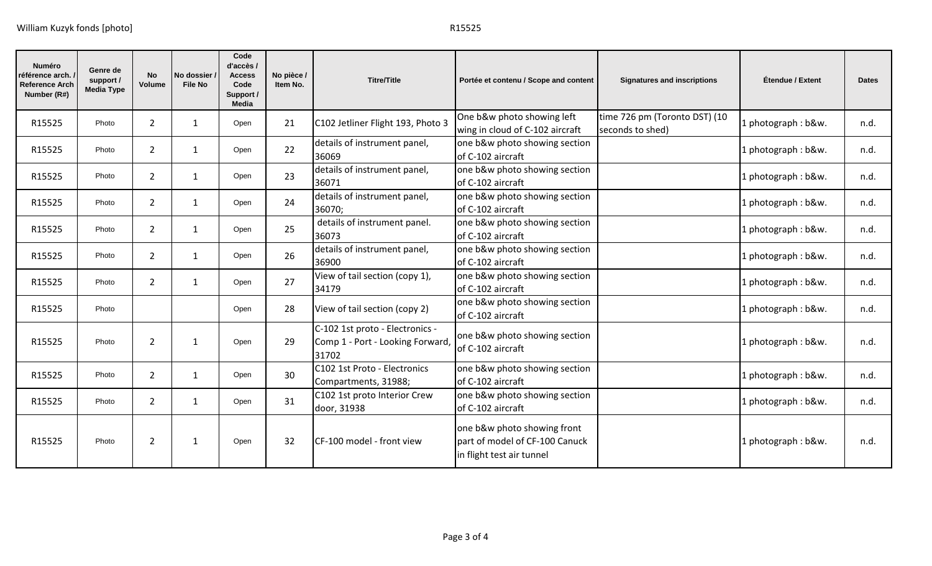| Numéro<br>référence arch.<br><b>Reference Arch</b><br>Number (R#) | Genre de<br>support /<br><b>Media Type</b> | <b>No</b><br><b>Volume</b> | No dossier /<br><b>File No</b> | Code<br>d'accès /<br><b>Access</b><br>Code<br>Support /<br><b>Media</b> | No pièce /<br>Item No. | <b>Titre/Title</b>                                                           | Portée et contenu / Scope and content                                                      | <b>Signatures and inscriptions</b>                | Étendue / Extent   | <b>Dates</b> |
|-------------------------------------------------------------------|--------------------------------------------|----------------------------|--------------------------------|-------------------------------------------------------------------------|------------------------|------------------------------------------------------------------------------|--------------------------------------------------------------------------------------------|---------------------------------------------------|--------------------|--------------|
| R15525                                                            | Photo                                      | $\overline{2}$             | $\mathbf{1}$                   | Open                                                                    | 21                     | C102 Jetliner Flight 193, Photo 3                                            | One b&w photo showing left<br>wing in cloud of C-102 aircraft                              | time 726 pm (Toronto DST) (10<br>seconds to shed) | 1 photograph: b&w. | n.d.         |
| R15525                                                            | Photo                                      | $\overline{2}$             | $\mathbf{1}$                   | Open                                                                    | 22                     | details of instrument panel,<br>36069                                        | one b&w photo showing section<br>of C-102 aircraft                                         |                                                   | 1 photograph: b&w. | n.d.         |
| R15525                                                            | Photo                                      | $\overline{2}$             | $\mathbf{1}$                   | Open                                                                    | 23                     | details of instrument panel,<br>36071                                        | one b&w photo showing section<br>of C-102 aircraft                                         |                                                   | 1 photograph: b&w. | n.d.         |
| R15525                                                            | Photo                                      | 2                          | $\mathbf{1}$                   | Open                                                                    | 24                     | details of instrument panel,<br>36070;                                       | one b&w photo showing section<br>of C-102 aircraft                                         |                                                   | 1 photograph: b&w. | n.d.         |
| R15525                                                            | Photo                                      | $\overline{2}$             | $\mathbf{1}$                   | Open                                                                    | 25                     | details of instrument panel.<br>36073                                        | one b&w photo showing section<br>of C-102 aircraft                                         |                                                   | 1 photograph: b&w. | n.d.         |
| R15525                                                            | Photo                                      | $\overline{2}$             | $\mathbf{1}$                   | Open                                                                    | 26                     | details of instrument panel,<br>36900                                        | one b&w photo showing section<br>of C-102 aircraft                                         |                                                   | 1 photograph: b&w. | n.d.         |
| R15525                                                            | Photo                                      | $\overline{2}$             | $\mathbf{1}$                   | Open                                                                    | 27                     | View of tail section (copy 1),<br>34179                                      | one b&w photo showing section<br>of C-102 aircraft                                         |                                                   | 1 photograph: b&w. | n.d.         |
| R15525                                                            | Photo                                      |                            |                                | Open                                                                    | 28                     | View of tail section (copy 2)                                                | one b&w photo showing section<br>of C-102 aircraft                                         |                                                   | 1 photograph: b&w. | n.d.         |
| R15525                                                            | Photo                                      | $\overline{2}$             | 1                              | Open                                                                    | 29                     | C-102 1st proto - Electronics -<br>Comp 1 - Port - Looking Forward,<br>31702 | one b&w photo showing section<br>of C-102 aircraft                                         |                                                   | 1 photograph: b&w. | n.d.         |
| R15525                                                            | Photo                                      | $\overline{2}$             | $\mathbf{1}$                   | Open                                                                    | 30                     | C102 1st Proto - Electronics<br>Compartments, 31988;                         | one b&w photo showing section<br>of C-102 aircraft                                         |                                                   | 1 photograph: b&w. | n.d.         |
| R15525                                                            | Photo                                      | $\overline{2}$             | $\mathbf{1}$                   | Open                                                                    | 31                     | C102 1st proto Interior Crew<br>door, 31938                                  | one b&w photo showing section<br>of C-102 aircraft                                         |                                                   | 1 photograph: b&w. | n.d.         |
| R15525                                                            | Photo                                      | $\overline{2}$             | 1                              | Open                                                                    | 32                     | CF-100 model - front view                                                    | one b&w photo showing front<br>part of model of CF-100 Canuck<br>in flight test air tunnel |                                                   | 1 photograph: b&w. | n.d.         |